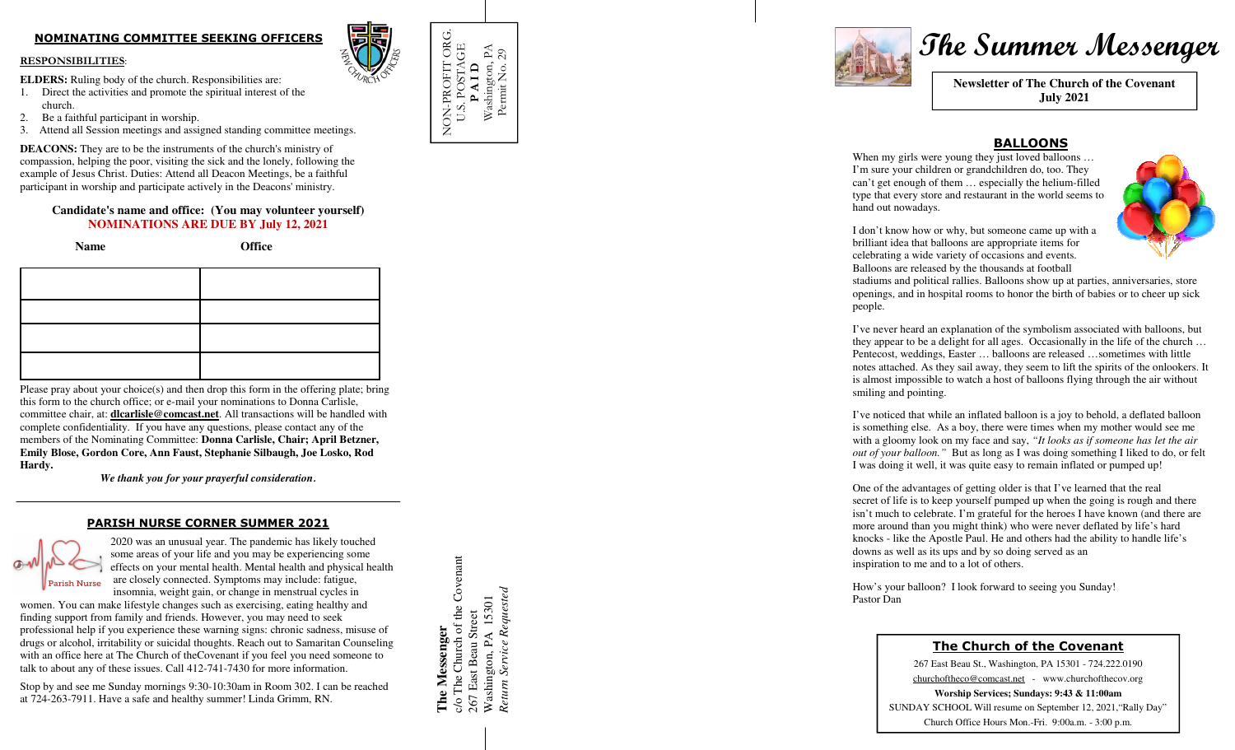# **NOMINATING COMMITTEE SEEKING OFFICERS**

#### **RESPONSIBILITIES**:

**ELDERS:** Ruling body of the church. Responsibilities are:

- 1. Direct the activities and promote the spiritual interest of the church.
- 2. Be a faithful participant in worship.
- 3. Attend all Session meetings and assigned standing committee meetings.

**DEACONS:** They are to be the instruments of the church's ministry of compassion, helping the poor, visiting the sick and the lonely, following the example of Jesus Christ. Duties: Attend all Deacon Meetings, be a faithful participant in worship and participate actively in the Deacons' ministry.

### **Candidate's name and office: (You may volunteer yourself) NOMINATIONS ARE DUE BY July 12, 2021**

 **Name Office** 

Please pray about your choice(s) and then drop this form in the offering plate; bring this form to the church office; or e-mail your nominations to Donna Carlisle, committee chair, at: **dlcarlisle@comcast.net**. All transactions will be handled with complete confidentiality. If you have any questions, please contact any of the members of the Nominating Committee: **Donna Carlisle, Chair; April Betzner, Emily Blose, Gordon Core, Ann Faust, Stephanie Silbaugh, Joe Losko, Rod Hardy.** 

*We thank you for your prayerful consideration***.**

#### **PARISH NURSE CORNER SUMMER 2021**



 2020 was an unusual year. The pandemic has likely touched some areas of your life and you may be experiencing some effects on your mental health. Mental health and physical health are closely connected. Symptoms may include: fatigue, insomnia, weight gain, or change in menstrual cycles in

 women. You can make lifestyle changes such as exercising, eating healthy and finding support from family and friends. However, you may need to seek professional help if you experience these warning signs: chronic sadness, misuse of drugs or alcohol, irritability or suicidal thoughts. Reach out to Samaritan Counseling with an office here at The Church of theCovenant if you feel you need someone to talk to about any of these issues. Call 412-741-7430 for more information.

Stop by and see me Sunday mornings 9:30-10:30am in Room 302. I can be reached at 724-263-7911. Have a safe and healthy summer! Linda Grimm, RN.

NON-PROFIT ORG. NON-PROFIT ORG.<br>U.S. POSTAGE U.S. POSTAGE Washington, PA PAID **P A I D** 



# **Phe Summer Messenger <br>
Phe Summer Messenger <br>
Newsletter of The Church of the Covenant July 2021**

# **BALLOONS**

 When my girls were young they just loved balloons … I'm sure your children or grandchildren do, too. They can't get enough of them … especially the helium-filled type that every store and restaurant in the world seems to hand out nowadays.



I don't know how or why, but someone came up with abrilliant idea that balloons are appropriate items for celebrating a wide variety of occasions and events.Balloons are released by the thousands at football

 stadiums and political rallies. Balloons show up at parties, anniversaries, store openings, and in hospital rooms to honor the birth of babies or to cheer up sick people.

I've never heard an explanation of the symbolism associated with balloons, but they appear to be a delight for all ages. Occasionally in the life of the church … Pentecost, weddings, Easter … balloons are released …sometimes with little notes attached. As they sail away, they seem to lift the spirits of the onlookers. It is almost impossible to watch a host of balloons flying through the air without smiling and pointing.

I've noticed that while an inflated balloon is a joy to behold, a deflated balloon is something else. As a boy, there were times when my mother would see me with a gloomy look on my face and say, *"It looks as if someone has let the air out of your balloon."* But as long as I was doing something I liked to do, or felt I was doing it well, it was quite easy to remain inflated or pumped up!

One of the advantages of getting older is that I've learned that the real secret of life is to keep yourself pumped up when the going is rough and there isn't much to celebrate. I'm grateful for the heroes I have known (and there are more around than you might think) who were never deflated by life's hard knocks - like the Apostle Paul. He and others had the ability to handle life's downs as well as its ups and by so doing served as an inspiration to me and to a lot of others.

How's your balloon? I look forward to seeing you Sunday! Pastor Dan

## **The Church of the Covenant**

267 East Beau St., Washington, PA 15301 - 724.222.0190 churchoftheco@comcast.net - www.churchofthecov.org **Worship Services; Sundays: 9:43 & 11:00am** SUNDAY SCHOOL Will resume on September 12, 2021,"Rally Day" Church Office Hours Mon.-Fri. 9:00a.m. - 3:00 p.m.

c/o The Church of the Covenant c/o The Church of the Covenant *Return Service Requested*  Washington, PA 15301<br>Return Service Requested Washington, PA 15301 267 East Beau Street 267 East Beau Street **The Messenger**  The Messenger